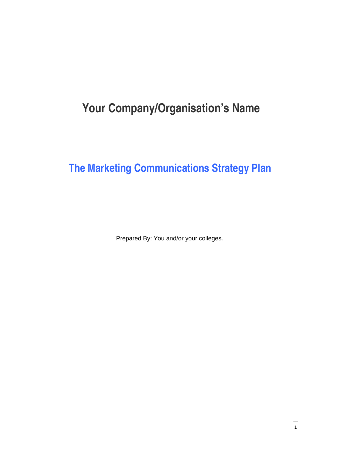# **Your Company/Organisation's Name**

# **The Marketing Communications Strategy Plan**

Prepared By: You and/or your colleges.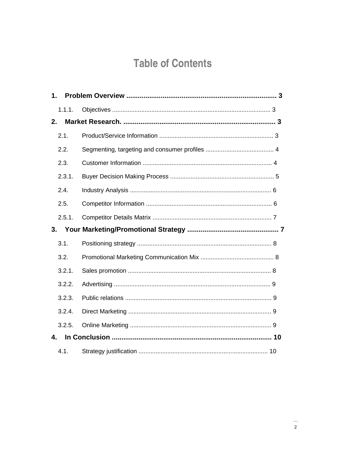# **Table of Contents**

| 1. |        |  |
|----|--------|--|
|    | 1.1.1. |  |
| 2. |        |  |
|    | 2.1.   |  |
|    | 2.2.   |  |
|    | 2.3.   |  |
|    | 2.3.1. |  |
|    | 2.4.   |  |
|    | 2.5.   |  |
|    | 2.5.1. |  |
|    |        |  |
| 3. |        |  |
|    | 3.1.   |  |
|    | 3.2.   |  |
|    | 3.2.1. |  |
|    | 3.2.2. |  |
|    | 3.2.3. |  |
|    | 3.2.4. |  |
|    | 3.2.5. |  |
| 4. |        |  |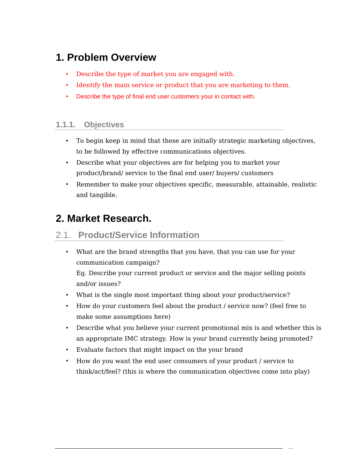## **1. Problem Overview**

- Describe the type of market you are engaged with.
- Identify the main service or product that you are marketing to them.
- Describe the type of final end user customers your in contact with.

#### **1.1.1. Objectives**

- To begin keep in mind that these are initially strategic marketing objectives, to be followed by effective communications objectives.
- Describe what your objectives are for helping you to market your product/brand/ service to the final end user/ buyers/ customers
- Remember to make your objectives specific, measurable, attainable, realistic and tangible.

## **2. Market Research.**

### 2.1. **Product/Service Information**

- What are the brand strengths that you have, that you can use for your communication campaign? Eg. Describe your current product or service and the major selling points and/or issues?
- What is the single most important thing about your product/service?
- How do your customers feel about the product / service now? (feel free to make some assumptions here)
- Describe what you believe your current promotional mix is and whether this is an appropriate IMC strategy. How is your brand currently being promoted?
- Evaluate factors that might impact on the your brand
- How do you want the end user consumers of your product / service to think/act/feel? (this is where the communication objectives come into play)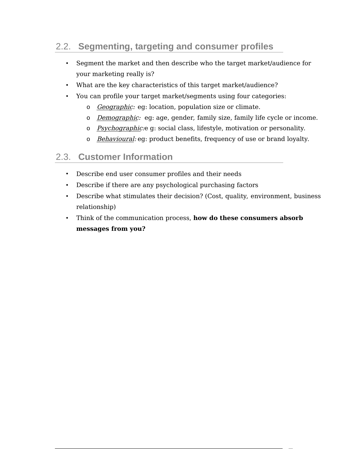## 2.2. **Segmenting, targeting and consumer profiles**

- Segment the market and then describe who the target market/audience for your marketing really is?
- What are the key characteristics of this target market/audience?
- You can profile your target market/segments using four categories:
	- o Geographic: eg: location, population size or climate.
	- o *Demographic*: eg: age, gender, family size, family life cycle or income.
	- o Psychographic:e g: social class, lifestyle, motivation or personality.
	- o Behavioural: eg: product benefits, frequency of use or brand loyalty.

#### 2.3. **Customer Information**

- Describe end user consumer profiles and their needs
- Describe if there are any psychological purchasing factors
- Describe what stimulates their decision? (Cost, quality, environment, business relationship)
- Think of the communication process, **how do these consumers absorb messages from you?**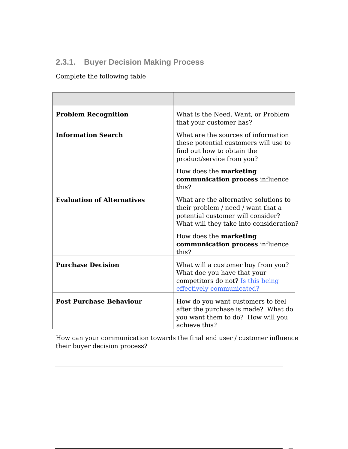### **2.3.1. Buyer Decision Making Process**

Complete the following table

| <b>Problem Recognition</b>        | What is the Need, Want, or Problem<br>that your customer has?                                                                                               |  |  |
|-----------------------------------|-------------------------------------------------------------------------------------------------------------------------------------------------------------|--|--|
| <b>Information Search</b>         | What are the sources of information<br>these potential customers will use to<br>find out how to obtain the<br>product/service from you?                     |  |  |
|                                   | How does the <b>marketing</b><br><b>communication process influence</b><br>this?                                                                            |  |  |
| <b>Evaluation of Alternatives</b> | What are the alternative solutions to<br>their problem / need / want that a<br>potential customer will consider?<br>What will they take into consideration? |  |  |
|                                   | How does the marketing<br>communication process influence<br>this?                                                                                          |  |  |
| <b>Purchase Decision</b>          | What will a customer buy from you?<br>What doe you have that your<br>competitors do not? Is this being<br>effectively communicated?                         |  |  |
| <b>Post Purchase Behaviour</b>    | How do you want customers to feel<br>after the purchase is made? What do<br>you want them to do? How will you<br>achieve this?                              |  |  |

How can your communication towards the final end user / customer influence their buyer decision process?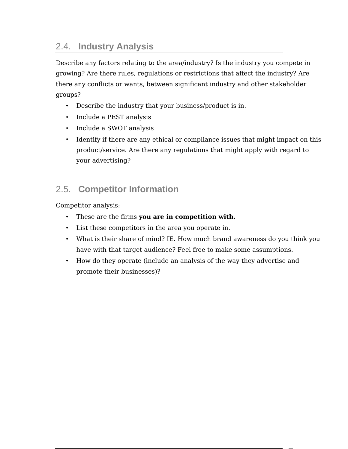### 2.4. **Industry Analysis**

Describe any factors relating to the area/industry? Is the industry you compete in growing? Are there rules, regulations or restrictions that affect the industry? Are there any conflicts or wants, between significant industry and other stakeholder groups?

- Describe the industry that your business/product is in.
- Include a PEST analysis
- Include a SWOT analysis
- Identify if there are any ethical or compliance issues that might impact on this product/service. Are there any regulations that might apply with regard to your advertising?

## 2.5. **Competitor Information**

Competitor analysis:

- These are the firms **you are in competition with.**
- List these competitors in the area you operate in.
- What is their share of mind? IE. How much brand awareness do you think you have with that target audience? Feel free to make some assumptions.
- How do they operate (include an analysis of the way they advertise and promote their businesses)?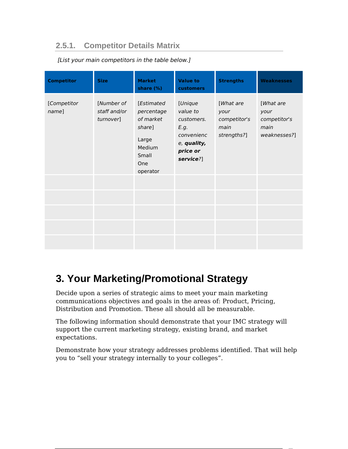#### **2.5.1. Competitor Details Matrix**

| <b>Competitor</b>    | <b>Size</b>                             | <b>Market</b><br>share (%)                                                                     | <b>Value to</b><br>customers                                                                    | <b>Strengths</b>                                         | <b>Weaknesses</b>                                         |
|----------------------|-----------------------------------------|------------------------------------------------------------------------------------------------|-------------------------------------------------------------------------------------------------|----------------------------------------------------------|-----------------------------------------------------------|
| [Competitor<br>name] | [Number of<br>staff and/or<br>turnover] | [Estimated<br>percentage<br>of market<br>share]<br>Large<br>Medium<br>Small<br>One<br>operator | [Unique<br>value to<br>customers.<br>E.g.<br>convenienc<br>e, quality,<br>price or<br>service?] | [What are<br>your<br>competitor's<br>main<br>strengths?] | [What are<br>your<br>competitor's<br>main<br>weaknesses?] |
|                      |                                         |                                                                                                |                                                                                                 |                                                          |                                                           |
|                      |                                         |                                                                                                |                                                                                                 |                                                          |                                                           |
|                      |                                         |                                                                                                |                                                                                                 |                                                          |                                                           |

[List your main competitors in the table below.]

## **3. Your Marketing/Promotional Strategy**

Decide upon a series of strategic aims to meet your main marketing communications objectives and goals in the areas of: Product, Pricing, Distribution and Promotion. These all should all be measurable.

The following information should demonstrate that your IMC strategy will support the current marketing strategy, existing brand, and market expectations.

Demonstrate how your strategy addresses problems identified. That will help you to "sell your strategy internally to your colleges".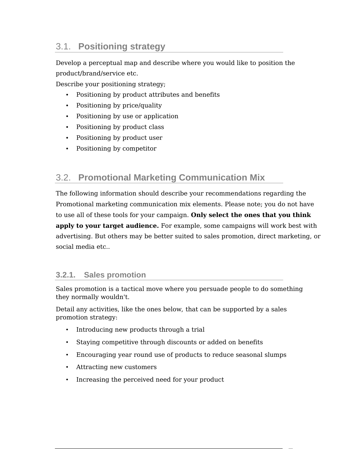### 3.1. **Positioning strategy**

Develop a perceptual map and describe where you would like to position the product/brand/service etc.

Describe your positioning strategy;

- Positioning by product attributes and benefits
- Positioning by price/quality
- Positioning by use or application
- Positioning by product class
- Positioning by product user
- Positioning by competitor

### 3.2. **Promotional Marketing Communication Mix**

The following information should describe your recommendations regarding the Promotional marketing communication mix elements. Please note; you do not have to use all of these tools for your campaign. **Only select the ones that you think apply to your target audience.** For example, some campaigns will work best with advertising. But others may be better suited to sales promotion, direct marketing, or social media etc..

#### **3.2.1. Sales promotion**

Sales promotion is a tactical move where you persuade people to do something they normally wouldn't.

Detail any activities, like the ones below, that can be supported by a sales promotion strategy:

- Introducing new products through a trial
- Staying competitive through discounts or added on benefits
- Encouraging year round use of products to reduce seasonal slumps
- Attracting new customers
- Increasing the perceived need for your product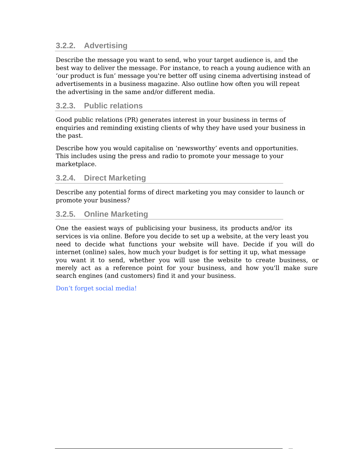#### **3.2.2. Advertising**

Describe the message you want to send, who your target audience is, and the best way to deliver the message. For instance, to reach a young audience with an 'our product is fun' message you're better off using cinema advertising instead of advertisements in a business magazine. Also outline how often you will repeat the advertising in the same and/or different media.

#### **3.2.3. Public relations**

Good public relations (PR) generates interest in your business in terms of enquiries and reminding existing clients of why they have used your business in the past.

Describe how you would capitalise on 'newsworthy' events and opportunities. This includes using the press and radio to promote your message to your marketplace.

#### **3.2.4. Direct Marketing**

Describe any potential forms of direct marketing you may consider to launch or promote your business?

#### **3.2.5. Online Marketing**

One the easiest ways of publicising your business, its products and/or its services is via online. Before you decide to set up a website, at the very least you need to decide what functions your website will have. Decide if you will do internet (online) sales, how much your budget is for setting it up, what message you want it to send, whether you will use the website to create business, or merely act as a reference point for your business, and how you'll make sure search engines (and customers) find it and your business.

Don't forget social media!